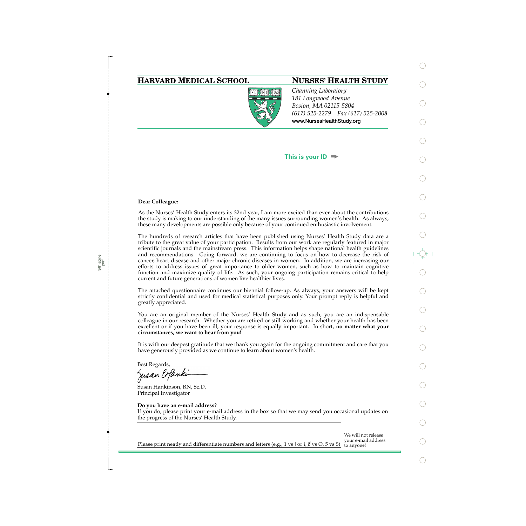## **HARVARD MEDICAL SCHOOL NURSES' HEALTH STUDY**



*Channing Laboratory 181 Longwood Avenue Boston, MA 02115-5804 (617) 525-2279 Fax (617) 525-2008*  **www.NursesHealthStudy.org** 

### **This is your ID**

#### **Dear Colleague:**

As the Nurses' Health Study enters its 32nd year, I am more excited than ever about the contributions the study is making to our understanding of the many issues surrounding women's health. As always, these many developments are possible only because of your continued enthusiastic involvement.

The hundreds of research articles that have been published using Nurses' Health Study data are a tribute to the great value of your participation. Results from our work are regularly featured in major scientific journals and the mainstream press. This information helps shape national health guidelines and recommendations. Going forward, we are continuing to focus on how to decrease the risk of cancer, heart disease and other major chronic diseases in women. In addition, we are increasing our efforts to address issues of great importance to older women, such as how to maintain cognitive function and maximize quality of life. As such, your ongoing participation remains critical to help current and future generations of women live healthier lives.

The attached questionnaire continues our biennial follow-up. As always, your answers will be kept strictly confidential and used for medical statistical purposes only. Your prompt reply is helpful and greatly appreciated.

You are an original member of the Nurses' Health Study and as such, you are an indispensable colleague in our research. Whether you are retired or still working and whether your health has been excellent or if you have been ill, your response is equally important. In short, **no matter what your circumstances, we want to hear from you!**

It is with our deepest gratitude that we thank you again for the ongoing commitment and care that you have generously provided as we continue to learn about women's health.

Best Regards,

Jusan Expandi

Susan Hankinson, RN, Sc.D. Principal Investigator

#### **Do you have an e-mail address?**

If you do, please print your e-mail address in the box so that we may send you occasional updates on the progress of the Nurses' Health Study.

We will <u>not</u> release<br>your e-mail address Please print neatly and differentiate numbers and letters (e.g., 1 vs l or i,  $\emptyset$  vs O, 5 vs S) to anyone!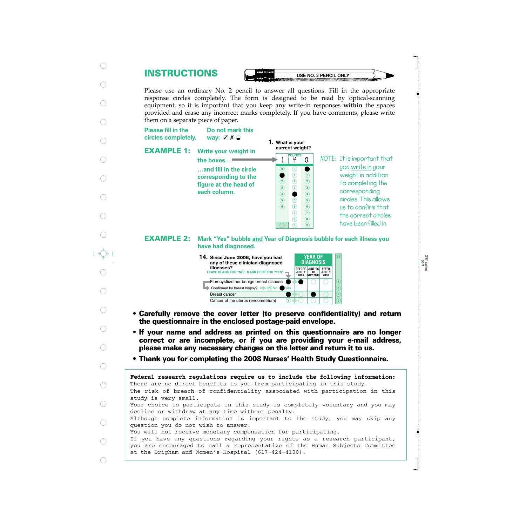# **INSTRUCTIONS**

**USE NO. 2 PENCIL ONLY** 

Please use an ordinary No. 2 pencil to answer all questions. Fill in the appropriate response circles completely. The form is designed to be read by optical-scanning equipment, so it is important that you keep any write-in responses **within** the spaces provided and erase any incorrect marks completely. If you have comments, please write them on a separate piece of paper.

**Please fill in the** circles completely.

way:  $\emptyset$   $\emptyset$   $\odot$ 

**Do not mark this**

**EXAMPLE 1:**

| Write your weight in                                                                    |  |
|-----------------------------------------------------------------------------------------|--|
| the boxes                                                                               |  |
| and fill in the circle<br>corresponding to the<br>figure at the head of<br>each column. |  |

**1. What is your current weight?**

**0**

**140**

**7 8 9** **7 8 9**

**NOTE: POUNDS It is important that you write in your weight in addition to completing the corresponding circles. This allows us to confirm that the correct circles have been filled in.**

**Mark "Yes" bubble and Year of Diagnosis bubble for each illness you have had diagnosed. EXAMPLE 2:**



- **Carefully remove the cover letter (to preserve confidentiality) and return the questionnaire in the enclosed postage-paid envelope.**
- **If your name and address as printed on this questionnaire are no longer correct or are incomplete, or if you are providing your e-mail address, please make any necessary changes on the letter and return it to us.**
- **Thank you for completing the 2008 Nurses' Health Study Questionnaire.**

The risk of breach of confidentiality associated with participation in this study is very small. Your choice to participate in this study is completely voluntary and you may decline or withdraw at any time without penalty. Although complete information is important to the study, you may skip any question you do not wish to answer. You will not receive monetary compensation for participating. If you have any questions regarding your rights as a research participant, you are encouraged to call a representative of the Human Subjects Committee at the Brigham and Women's Hospital (617-424-4100). **Federal research regulations require us to include the following information:** There are no direct benefits to you from participating in this study.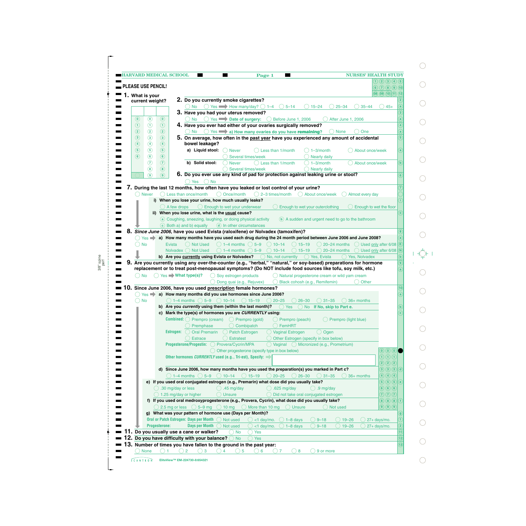|                            |                           |                      | <b>HARVARD MEDICAL SCHOOL</b><br>Page 1<br>▄                                                                                                                                                                                 | <b>NURSES' HEALTH STUDY</b>                                                                                                                                                                                                                                                                                                                                                                                                       |
|----------------------------|---------------------------|----------------------|------------------------------------------------------------------------------------------------------------------------------------------------------------------------------------------------------------------------------|-----------------------------------------------------------------------------------------------------------------------------------------------------------------------------------------------------------------------------------------------------------------------------------------------------------------------------------------------------------------------------------------------------------------------------------|
|                            |                           |                      |                                                                                                                                                                                                                              | 1) (2) (3) (4) (5)                                                                                                                                                                                                                                                                                                                                                                                                                |
|                            | <b>PLEASE USE PENCIL!</b> |                      |                                                                                                                                                                                                                              | 6) (7) (8) (9) (10)                                                                                                                                                                                                                                                                                                                                                                                                               |
|                            | 1. What is your           |                      |                                                                                                                                                                                                                              | $(08)$ $(09)$ $(10)$ $(11)$ $(12)$                                                                                                                                                                                                                                                                                                                                                                                                |
|                            | current weight?           |                      | 2. Do you currently smoke cigarettes?<br>$5 - 14$<br>$($ )<br>$15 - 24$<br>$25 - 34$<br>$35 - 44$                                                                                                                            | $\mathbf{a}$                                                                                                                                                                                                                                                                                                                                                                                                                      |
|                            |                           |                      | Yes $\longrightarrow$ How many/day? $\bigcirc$ 1-4<br>No.<br>3. Have you had your uterus removed?                                                                                                                            | $45+$                                                                                                                                                                                                                                                                                                                                                                                                                             |
| $\left( \mathbf{0}\right)$ | $\circledcirc$            | $\circledcirc$       | Yes Date of surgery: C Before June 1, 2006<br>$()$ No<br>After June 1, 2006                                                                                                                                                  | $\mathbf{a}$                                                                                                                                                                                                                                                                                                                                                                                                                      |
| $\odot$                    | $\odot$                   | $\odot$              | 4. Have you ever had either of your ovaries surgically removed?                                                                                                                                                              | $\overline{4}$                                                                                                                                                                                                                                                                                                                                                                                                                    |
| $\circled{2}$              | $\odot$                   | $\circled{2}$        | Yes a) How many ovaries do you have remaining?<br>( ) No<br><b>None</b><br>One                                                                                                                                               | $\mathbf{a}$                                                                                                                                                                                                                                                                                                                                                                                                                      |
| $\circled{3}$              | $\circled{3}$             | $\circled{3}$        | 5. On average, how often in the past year have you experienced any amount of accidental                                                                                                                                      | $\overline{5}$                                                                                                                                                                                                                                                                                                                                                                                                                    |
| $\circled{4}$              | $\circled{4}$             | $\circled{4}$        | bowel leakage?                                                                                                                                                                                                               |                                                                                                                                                                                                                                                                                                                                                                                                                                   |
| $\circledcirc$             | $\circled{5}$             | $\circledcirc$       | a) Liquid stool:<br>Less than 1/month<br>$1 - 3$ /month<br><b>Never</b>                                                                                                                                                      | $\left( \mathsf{a}\right)$<br>About once/week                                                                                                                                                                                                                                                                                                                                                                                     |
| $\circled{6}$              | $\odot$                   | $\circledcirc$       | Several times/week<br><b>Nearly daily</b>                                                                                                                                                                                    |                                                                                                                                                                                                                                                                                                                                                                                                                                   |
|                            | $\overline{a}$            | $\circled{7}$        | b) Solid stool:<br><b>Never</b><br>Less than 1/month<br>$1 - 3$ /month                                                                                                                                                       | $\mathbf{b}$<br>About once/week                                                                                                                                                                                                                                                                                                                                                                                                   |
|                            | $\circledast$             | $\circled{8}$        | Several times/week<br>$\bigcirc$ Nearly daily                                                                                                                                                                                |                                                                                                                                                                                                                                                                                                                                                                                                                                   |
|                            | $\circledcirc$            | $\circledcirc$       | 6. Do you ever use any kind of pad for protection against leaking urine or stool?                                                                                                                                            | 6 <sup>2</sup>                                                                                                                                                                                                                                                                                                                                                                                                                    |
|                            |                           |                      | <b>No</b><br>Yes                                                                                                                                                                                                             |                                                                                                                                                                                                                                                                                                                                                                                                                                   |
|                            | <b>Never</b>              |                      | 7. During the last 12 months, how often have you leaked or lost control of your urine?<br>Less than once/month<br>O Once/month<br>$\bigcirc$ 2–3 times/month<br>About once/week<br>Almost every day                          |                                                                                                                                                                                                                                                                                                                                                                                                                                   |
|                            |                           |                      | i) When you lose your urine, how much usually leaks?                                                                                                                                                                         |                                                                                                                                                                                                                                                                                                                                                                                                                                   |
|                            |                           |                      | $\bigcirc$ Enough to wet your underwear<br>Enough to wet your outerclothing<br>$( )$ A few drops                                                                                                                             | Enough to wet the floor                                                                                                                                                                                                                                                                                                                                                                                                           |
|                            |                           |                      | ii) When you lose urine, what is the usual cause?                                                                                                                                                                            | ii l                                                                                                                                                                                                                                                                                                                                                                                                                              |
|                            |                           |                      | a Coughing, sneezing, laughing, or doing physical activity<br>(b) A sudden and urgent need to go to the bathroom                                                                                                             |                                                                                                                                                                                                                                                                                                                                                                                                                                   |
|                            |                           |                      | c Both a) and b) equally<br>(d) In other circumstances                                                                                                                                                                       |                                                                                                                                                                                                                                                                                                                                                                                                                                   |
|                            |                           |                      | Since June 2006, have you used Evista (raloxifene) or Nolvadex (tamoxifen)?                                                                                                                                                  | $\bf{8}$                                                                                                                                                                                                                                                                                                                                                                                                                          |
|                            |                           |                      | Yes a) How many months have you used each drug during the 24 month period between June 2006 and June 2008?                                                                                                                   | $\mathbf{a}$                                                                                                                                                                                                                                                                                                                                                                                                                      |
|                            | <b>No</b>                 | <b>Evista</b>        | $\bigcirc$ 1–4 months $\bigcirc$ 5–9 $\bigcirc$ 10–14<br><b>Not Used</b><br>$() 15 - 19$<br>$\bigcirc$ 20–24 months                                                                                                          | E)<br>◯ Used only after 6/08                                                                                                                                                                                                                                                                                                                                                                                                      |
|                            |                           |                      | Nolvadex ◯ Not Used<br>$\bigcirc$ 1–4 months $\bigcirc$ 5–9<br>$\bigcirc$ 10–14<br>$\bigcirc$ 15-19<br>$\bigcirc$ 20-24 months                                                                                               | $\left(\mathsf{N}\right)$<br>$\bigcirc$ Used only after 6/08                                                                                                                                                                                                                                                                                                                                                                      |
|                            |                           |                      |                                                                                                                                                                                                                              |                                                                                                                                                                                                                                                                                                                                                                                                                                   |
|                            |                           |                      |                                                                                                                                                                                                                              | $\mathbf{b}$                                                                                                                                                                                                                                                                                                                                                                                                                      |
|                            |                           |                      | b) Are you currently using Evista or Nolvadex?<br>$\bigcirc$ No, not currently<br>◯ Yes, Evista<br>() Yes, Nolvadex                                                                                                          | $\overline{9}$                                                                                                                                                                                                                                                                                                                                                                                                                    |
|                            |                           |                      | Are you currently using any over-the-counter (e.g., "herbal," "natural," or soy-based) preparations for hormone<br>replacement or to treat post-menopausal symptoms? (Do NOT include food sources like tofu, soy milk, etc.) | $\mathbf{a}$                                                                                                                                                                                                                                                                                                                                                                                                                      |
| $()$ No                    |                           |                      | $\bigcirc$ Yes $\blacksquare$ What type(s)?                                                                                                                                                                                  |                                                                                                                                                                                                                                                                                                                                                                                                                                   |
|                            |                           |                      | $\bigcirc$ Soy estrogen products<br>Natural progesterone cream or wild yam cream<br>Black cohosh (e.g., Remifemin)<br>Other<br>Dong quai (e.g., Rejuvex)                                                                     |                                                                                                                                                                                                                                                                                                                                                                                                                                   |
|                            |                           |                      | 10. Since June 2006, have you used prescription female hormones?                                                                                                                                                             | 10                                                                                                                                                                                                                                                                                                                                                                                                                                |
|                            |                           |                      | $\gamma$ Yes <b>a</b> a) How many months did you use hormones since June 2006?                                                                                                                                               |                                                                                                                                                                                                                                                                                                                                                                                                                                   |
|                            | No                        |                      | $\bigcirc$ 1–4 months $\bigcirc$ 5–9 $\bigcirc$ 10–14 $\bigcirc$ 15–19<br>$\bigcirc$ 20-25<br>$26 - 30$<br>$\bigcirc$ 31-35<br>$\bigcirc$ 36+ months                                                                         |                                                                                                                                                                                                                                                                                                                                                                                                                                   |
|                            |                           |                      | b) Are you currently using them (within the last month)?<br>$\bigcirc$ Yes<br>◯ No If No, skip to Part e.                                                                                                                    | $\mathbf{b}$                                                                                                                                                                                                                                                                                                                                                                                                                      |
|                            |                           |                      | c) Mark the type(s) of hormones you are CURRENTLY using:                                                                                                                                                                     | $\left  \mathbf{c} \right $                                                                                                                                                                                                                                                                                                                                                                                                       |
|                            |                           |                      | <b>Combined:</b> $\bigcirc$ Prempro (cream) $\bigcirc$ Prempro (gold)<br>Prempro (peach)<br>◯ Prempro (light blue)                                                                                                           |                                                                                                                                                                                                                                                                                                                                                                                                                                   |
|                            |                           |                      | Premphase<br>$\bigcirc$ Combipatch<br>FemHRT                                                                                                                                                                                 |                                                                                                                                                                                                                                                                                                                                                                                                                                   |
|                            |                           |                      | <b>Oral Premarin</b><br>◯ Vaginal Estrogen<br>Estrogen: ( )<br><b>Patch Estrogen</b><br>$\bigcirc$ Ogen                                                                                                                      |                                                                                                                                                                                                                                                                                                                                                                                                                                   |
|                            |                           |                      | <b>Estrace</b><br><b>Estratest</b><br>O Other Estrogen (specify in box below)                                                                                                                                                |                                                                                                                                                                                                                                                                                                                                                                                                                                   |
|                            |                           |                      | <b>Progesterone/Progestin:</b><br>◯ Provera/Cycrin/MPA<br>◯ Vaginal ◯ Micronized (e.g., Prometrium)                                                                                                                          |                                                                                                                                                                                                                                                                                                                                                                                                                                   |
|                            |                           |                      | O Other progesterone (specify type in box below)                                                                                                                                                                             | $\left( \begin{matrix} 0 \end{matrix} \right) \left( \begin{matrix} 0 \end{matrix} \right) \left( \begin{matrix} 0 \end{matrix} \right)$                                                                                                                                                                                                                                                                                          |
|                            |                           |                      | Other hormones CURRENTLY used (e.g., Tri-est), Specify:                                                                                                                                                                      | $\bigcirc$ $\bigcirc$ $\bigcirc$                                                                                                                                                                                                                                                                                                                                                                                                  |
|                            |                           |                      |                                                                                                                                                                                                                              | (2)(2)(2)                                                                                                                                                                                                                                                                                                                                                                                                                         |
|                            |                           |                      | d) Since June 2006, how many months have you used the preparation(s) you marked in Part c?                                                                                                                                   | $(3)$ $(3)$ $(3)$ $(d)$                                                                                                                                                                                                                                                                                                                                                                                                           |
|                            |                           |                      | $\bigcirc$ 1–4 months $\bigcirc$ 5–9 $\bigcirc$ 10–14 $\bigcirc$ 15–19<br>$\bigcirc$ 20-25<br>$\bigcirc$ 26-30<br>$\bigcirc$ 31-35<br>$( ) 36+$ months                                                                       | $\bigcirc$ $\bigcirc$ $\bigcirc$ $\bigcirc$                                                                                                                                                                                                                                                                                                                                                                                       |
|                            |                           |                      | e) If you used oral conjugated estrogen (e.g., Premarin) what dose did you usually take?                                                                                                                                     | $\left(5\right)\left(5\right)\left(5\right)$<br>$\left( \mathsf{e}\right)$                                                                                                                                                                                                                                                                                                                                                        |
|                            |                           |                      | $\bigcirc$ .30 mg/day or less<br>$\bigcirc$ .45 mg/day<br>$\bigcirc$ .625 mg/day<br>$\bigcirc$ .9 mg/day                                                                                                                     | 6666                                                                                                                                                                                                                                                                                                                                                                                                                              |
|                            |                           |                      | ◯ Did not take oral conjugated estrogen<br>$\bigcirc$ 1.25 mg/day or higher<br>$\bigcirc$ Unsure                                                                                                                             | $\mathcal{O}(\overline{\mathcal{O}})$                                                                                                                                                                                                                                                                                                                                                                                             |
|                            |                           |                      | f) If you used oral medroxyprogesterone (e.g., Provera, Cycrin), what dose did you usually take?                                                                                                                             | $\bullet \textbf{8} \textbf{)} \textbf{8}$<br>$\vert f \vert$                                                                                                                                                                                                                                                                                                                                                                     |
|                            |                           |                      | $\bigcirc$ 2.5 mg or less $\bigcirc$ 5–9 mg $\bigcirc$ 10 mg $\bigcirc$ More than 10 mg $\bigcirc$ Unsure<br>() Not used                                                                                                     | $\circledcirc$ $\circledcirc$                                                                                                                                                                                                                                                                                                                                                                                                     |
|                            |                           |                      | g) What was your pattern of hormone use (Days per Month)?                                                                                                                                                                    | g,                                                                                                                                                                                                                                                                                                                                                                                                                                |
|                            |                           |                      | Oral or Patch Estrogen: Days per Month  O Not used<br>$\bigcirc$ <1 day/mo.<br>$\bigcirc$ 1-8 days<br>$\bigcirc$ 9-18<br>$\bigcirc$ 19–26                                                                                    | 27+ days/mo.<br>1                                                                                                                                                                                                                                                                                                                                                                                                                 |
|                            |                           | <b>Progesterone:</b> | Days per Month (<br>Not used<br>$\bigcirc$ <1 day/mo.<br>$9 - 18$<br>$) 19 - 26$<br>$() 1-8$ days                                                                                                                            | $\mathbf{2}% ^{2}\mathbf{1}_{B(1)}=\mathbf{1}_{B(1)}=\mathbf{1}_{B(1)}=\mathbf{1}_{B(1)}=\mathbf{1}_{B(1)}=\mathbf{1}_{B(1)}=\mathbf{1}_{B(1)}=\mathbf{1}_{B(1)}=\mathbf{1}_{B(1)}=\mathbf{1}_{B(1)}=\mathbf{1}_{B(1)}=\mathbf{1}_{B(1)}=\mathbf{1}_{B(1)}=\mathbf{1}_{B(1)}=\mathbf{1}_{B(1)}=\mathbf{1}_{B(1)}=\mathbf{1}_{B(1)}=\mathbf{1}_{B(1)}=\mathbf{1}_{B(1)}=\mathbf{1}_{B(1)}=\mathbf{1}_{B(1)}=\$<br>$27+ days/mol$ . |
|                            |                           |                      | Do you usually use a cane or walker?<br>$)$ No<br>Yes                                                                                                                                                                        | $\mathbf{11}$                                                                                                                                                                                                                                                                                                                                                                                                                     |
| (3,                        |                           |                      | 2. Do you have difficulty with your balance?<br>)No<br>Yes<br>Number of times you have fallen to the ground in the past year:                                                                                                | $\widehat{12}$                                                                                                                                                                                                                                                                                                                                                                                                                    |

3/8" spine perf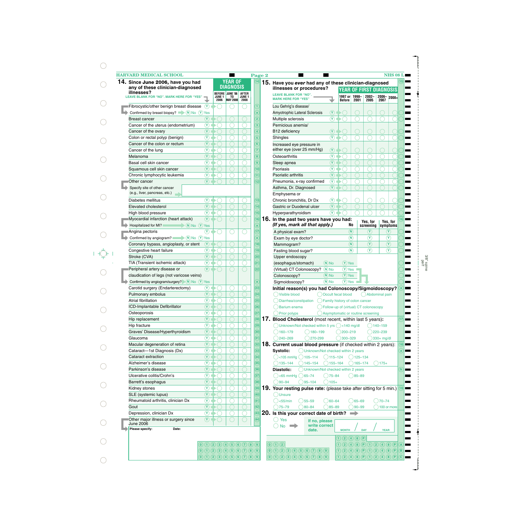| <b>HARVARD MEDICAL SCHOOL</b><br>14. Since June 2006, have you had<br>any of these clinician-diagnosed |                                          |                                                                       | <b>YEAR OF</b><br><b>DIAGNOSIS</b> |                   | Page 2<br>$\left(14\right)$ | 15. Have you ever had any of these clinician-diagnosed                 |                                                      |                            |                                           | <b>NHS 08 L</b>                                                                         | $\overline{15}$ |
|--------------------------------------------------------------------------------------------------------|------------------------------------------|-----------------------------------------------------------------------|------------------------------------|-------------------|-----------------------------|------------------------------------------------------------------------|------------------------------------------------------|----------------------------|-------------------------------------------|-----------------------------------------------------------------------------------------|-----------------|
| illnesses?                                                                                             |                                          |                                                                       | BEFORE JUNE '06                    | <b>AFTER</b>      |                             | illnesses or procedures?                                               |                                                      |                            | YEAR OF FIRST DIAGNOSIS                   |                                                                                         |                 |
| <b>LEAVE BLANK FOR "NO". MARK HERE FOR "YES"</b>                                                       |                                          | <b>JUNE 1</b><br>2006                                                 | TO<br><b>MAY 2008</b> 2008         | JUNE <sub>1</sub> |                             | <b>LEAVE BLANK FOR "NO".</b><br><b>MARK HERE FOR "YES"</b>             |                                                      | 1997 or   1998-<br>Before  | $2002 -$<br>2001<br>2005                  | $\begin{array}{ c c c }\n\hline\n2006 & 2008 + \\ \hline\n2007 & & \hline\n\end{array}$ |                 |
| Fibrocystic/other benign breast disease                                                                | $\Omega$                                 |                                                                       |                                    |                   |                             | Lou Gehrig's disease/                                                  |                                                      |                            |                                           |                                                                                         |                 |
| Confirmed by breast biopsy? $\blacksquare$ (N) No (Y) Yes                                              |                                          |                                                                       |                                    |                   | $\mathbf{a}$                | Amyotrophic Lateral Sclerosis                                          | (Y)                                                  |                            |                                           |                                                                                         |                 |
| Breast cancer                                                                                          | $(\mathbf{Y})$                           |                                                                       |                                    |                   | $\overline{2}$              | Multiple sclerosis                                                     | $\circledcirc$                                       |                            |                                           |                                                                                         |                 |
| Cancer of the uterus (endometrium)                                                                     | $\circledcirc$                           |                                                                       |                                    |                   | $\overline{3}$              | Pernicious anemia/                                                     |                                                      |                            |                                           |                                                                                         |                 |
| Cancer of the ovary                                                                                    | $\mathcal{F}$                            |                                                                       |                                    |                   |                             | B12 deficiency                                                         | $\Omega$                                             |                            |                                           |                                                                                         |                 |
| Colon or rectal polyp (benign)                                                                         | $\circledcirc$                           |                                                                       |                                    |                   | $\overline{5}$              | Shingles                                                               | $\mathcal{F}$                                        |                            |                                           |                                                                                         |                 |
| Cancer of the colon or rectum                                                                          | $\circledcirc$                           |                                                                       |                                    |                   | 6                           | Increased eye pressure in                                              |                                                      |                            |                                           |                                                                                         |                 |
| Cancer of the lung                                                                                     | $\circledcirc$                           |                                                                       |                                    |                   | 7                           | either eye (over 25 mm/Hg)                                             | $\mathbf{\Omega}$                                    |                            |                                           |                                                                                         |                 |
| Melanoma                                                                                               | $\left( \widehat{\mathbf{Y}}\right)$     |                                                                       |                                    |                   | $\overline{\mathbf{8}}$     | Osteoarthritis                                                         | $\circledcirc$                                       |                            |                                           |                                                                                         |                 |
| Basal cell skin cancer                                                                                 | $\widehat{\mathbf{Y}}$                   |                                                                       |                                    |                   | $\overline{9}$              | Sleep apnea                                                            | $\Omega$                                             |                            |                                           |                                                                                         |                 |
| Squamous cell skin cancer                                                                              | $\mathcal{F}$                            |                                                                       |                                    |                   | 10                          | Psoriasis                                                              | $\circledcirc$                                       |                            |                                           |                                                                                         |                 |
| Chronic lymphocytic leukemia                                                                           | $\left( \mathbf{\overline{Y}}\right)$    |                                                                       |                                    |                   | $\overline{11}$             | Psoriatic arthritis                                                    | $(\mathbf{Y})$                                       |                            |                                           |                                                                                         |                 |
| Other cancer                                                                                           | $(\mathbf{Y})$                           |                                                                       |                                    |                   | $\overline{12}$             | Pneumonia, x-ray confirmed                                             | $\circled{r}$                                        |                            |                                           |                                                                                         |                 |
| Specify site of other cancer<br>(e.g., liver, pancreas, etc.)                                          |                                          |                                                                       |                                    |                   |                             | Asthma, Dr. Diagnosed                                                  | $\mathbf{\Omega}$                                    |                            |                                           |                                                                                         |                 |
| Diabetes mellitus                                                                                      | $(\widehat{\textbf{Y}})$                 |                                                                       |                                    |                   | $\overline{13}$             | Emphysema or<br>Chronic bronchitis, Dr Dx                              | $\circledcirc$                                       |                            |                                           |                                                                                         |                 |
| Elevated cholesterol                                                                                   | $\mathcal{F}$                            |                                                                       |                                    |                   | $\overline{14}$             | Gastric or Duodenal ulcer                                              | $\mathbf{\Omega}$                                    |                            |                                           |                                                                                         |                 |
| High blood pressure                                                                                    | $\circledcirc$                           |                                                                       |                                    |                   | (15)                        | Hyperparathyroidism                                                    | $\circledcirc$                                       |                            |                                           |                                                                                         |                 |
| Myocardial infarction (heart attack)                                                                   | $\circledcirc$                           |                                                                       |                                    |                   | (16)                        | 16. In the past two years have you had:                                |                                                      |                            |                                           |                                                                                         | 16 <sup>2</sup> |
| Hospitalized for MI? $(N)$ No $(Y)$ Yes                                                                |                                          |                                                                       |                                    |                   | $\overline{a}$              | (If yes, mark all that apply.)                                         |                                                      | No                         | Yes, for<br>screening                     | Yes, for<br>symptoms                                                                    |                 |
| Angina pectoris                                                                                        | $\circledcirc$                           |                                                                       |                                    |                   | $\overline{17}$             | A physical exam?                                                       |                                                      | (N)                        | $(\mathbf{Y})$                            | $(\mathbf{Y})$                                                                          |                 |
| Confirmed by angiogram? $\sqrt{N}$ No $\sqrt{Y}$ Yes                                                   |                                          |                                                                       |                                    |                   | $\mathbf{a}$                | Exam by eye doctor?                                                    |                                                      | $\binom{N}{k}$             | $\left( \widehat{\mathbf{Y}}\right)$      | $\circledcirc$                                                                          |                 |
| Coronary bypass, angioplasty, or stent                                                                 | $(\lambda)$                              |                                                                       |                                    |                   | $\overline{18}$             | Mammogram?                                                             |                                                      | $\left( \mathbf{N}\right)$ | $\circledcirc$                            | $\mathbf{\Omega}$                                                                       |                 |
| Congestive heart failure                                                                               | $\circledcirc$                           |                                                                       |                                    |                   | $\overline{19}$             | Fasting blood sugar?                                                   |                                                      | $\binom{N}{k}$             | $\circledcirc$                            | $\mathcal{F}$                                                                           |                 |
| Stroke (CVA)                                                                                           | $\mathcal{F}$                            |                                                                       |                                    |                   | $\overline{20}$             | Upper endoscopy                                                        |                                                      |                            |                                           |                                                                                         |                 |
| TIA (Transient ischemic attack)                                                                        | $\circledcirc$                           |                                                                       |                                    |                   | $\overline{21}$             | (esophagus/stomach)                                                    | $(N)$ No                                             | $(Y)$ Yes                  |                                           |                                                                                         |                 |
| Peripheral artery disease or                                                                           | $\mathcal{F}$                            |                                                                       |                                    |                   | $\overline{22}$             | (Virtual) CT Colonoscopy? (N) No                                       |                                                      | $(Y)$ Yes                  |                                           |                                                                                         |                 |
| claudication of legs (not varicose veins)                                                              |                                          |                                                                       |                                    |                   |                             | Colonoscopy?                                                           | $(N)$ No                                             | $(Y)$ Yes                  |                                           |                                                                                         |                 |
| Confirmed by angiogram/surgery? N No (Y) Yes                                                           |                                          |                                                                       |                                    |                   | a                           | Sigmoidoscopy?                                                         | $(N)$ No                                             | $(Y)$ Yes                  |                                           |                                                                                         |                 |
| Carotid surgery (Endarterectomy)                                                                       | $(\mathbf{Y})$<br>$\widehat{\textbf{Y}}$ |                                                                       |                                    |                   | 23                          | Initial reason(s) you had Colonoscopy/Sigmoidoscopy?                   |                                                      |                            |                                           |                                                                                         |                 |
| Pulmonary embolus<br>Atrial fibrillation                                                               | $\overline{\mathbf{r}}$                  |                                                                       |                                    |                   | 24<br>(25)                  | ( ) Visible blood<br>Diarrhea/constipation                             | Occult fecal blood<br>Family history of colon cancer |                            |                                           | () Abdominal pain                                                                       |                 |
| ICD-Implantable Defibrillator                                                                          | $\circledcirc$                           |                                                                       |                                    |                   | (26)                        | Barium enema                                                           |                                                      |                            | ◯ Follow-up of (virtual) CT colonoscopy   |                                                                                         |                 |
| Osteoporosis                                                                                           | $\circledcirc$                           |                                                                       |                                    |                   | (27)                        | Prior polyps                                                           |                                                      |                            | Asymptomatic or routine screening         |                                                                                         |                 |
| Hip replacement                                                                                        | $\circledcirc$                           |                                                                       |                                    |                   | (28)                        | <b>17. Blood Cholesterol</b> (most recent, within last 5 years):       |                                                      |                            |                                           |                                                                                         | (17)            |
| Hip fracture                                                                                           | $\overline{\mathbf{r}}$                  |                                                                       |                                    |                   | (29)                        | $\bigcirc$ Unknown/Not checked within 5 yrs $\bigcirc$ <140 mg/dl      |                                                      |                            |                                           | $)140 - 159$                                                                            |                 |
| Graves' Disease/Hyperthyroidism                                                                        | $\circledcirc$                           |                                                                       |                                    |                   | $\bf{30}$                   | $160 - 179$                                                            | $( )180 - 199$                                       | $200 - 219$                |                                           | 220-239                                                                                 |                 |
| Glaucoma                                                                                               | $\overline{\mathbf{r}}$                  |                                                                       |                                    |                   | (31)                        | $240 - 269$                                                            | $270 - 299$                                          | $300 - 329$                |                                           | 330+ mg/dl                                                                              |                 |
| Macular degeneration of retina                                                                         | $\circledcirc$                           |                                                                       |                                    |                   | (32)                        | <b>18. Current usual blood pressure</b> (if checked within 2 years):   |                                                      |                            |                                           |                                                                                         | (18)            |
| Cataract-1st Diagnosis (Dx)                                                                            | $\overline{\circ}$                       |                                                                       |                                    |                   | (33)                        | Systolic:                                                              | Unknown/Not checked within 2 years                   |                            |                                           |                                                                                         | a               |
| Cataract extraction                                                                                    | $\circledcirc$                           |                                                                       |                                    |                   | (34)                        | $\bigcirc$ <105 mmHg $\bigcirc$ 105-114                                | $()115 - 124$                                        |                            | $125 - 134$                               |                                                                                         |                 |
| Alzheimer's disease                                                                                    | $\overline{\mathbf{r}}$                  |                                                                       |                                    |                   | (35)                        | 135-144                                                                | $)145 - 154$<br>$)155 - 164$                         |                            | $165 - 174$                               | $)175+$                                                                                 |                 |
| Parkinson's disease                                                                                    | $\circledcirc$                           |                                                                       |                                    |                   | 36                          | Diastolic:                                                             | Unknown/Not checked within 2 years                   |                            |                                           |                                                                                         | $\mathbf{b}$    |
| Ulcerative colitis/Crohn's                                                                             | $\circledcirc$<br>$\circledcirc$         |                                                                       |                                    |                   | $\overline{37}$             | $\leq$ 65 mmHg $\bigcirc$ 65-74                                        | $^{()}$ 75–84                                        |                            | $( )85 - 89$                              |                                                                                         |                 |
| Barrett's esophagus                                                                                    | $\overline{\circ}$                       |                                                                       |                                    |                   | $\overline{38}$             | $90 - 94$<br>$95 - 104$                                                | $105+$                                               |                            |                                           |                                                                                         |                 |
| Kidney stones                                                                                          | $\circledcirc$                           |                                                                       |                                    |                   | $\mathbf{39}$<br>(40)       | 19. Your resting pulse rate: (please take after sitting for 5 min.) 19 |                                                      |                            |                                           |                                                                                         |                 |
| SLE (systemic lupus)<br>Rheumatoid arthritis, clinician Dx                                             | $\overline{\circ}$                       |                                                                       |                                    |                   | (41)                        | ()Unsure<br>$<$ 55/min<br>$( )55 - 59$                                 | $( )60 - 64$                                         |                            | $( )65 - 69$                              | $270 - 74$                                                                              |                 |
| Gout                                                                                                   | $\circledcirc$                           |                                                                       |                                    |                   | $ 42\rangle$                | $0.80 - 84$<br>$^{()}$ 75–79                                           | $)85 - 89$                                           |                            | $)90 - 99$                                | $100$ or more                                                                           |                 |
| Depression, clinician Dx                                                                               | $\circledcirc$                           | 0                                                                     |                                    |                   | (43)                        | 20. Is this your correct date of birth?                                |                                                      | $\Rightarrow$              |                                           |                                                                                         |                 |
| Other major illness or surgery since                                                                   | $\circ$                                  |                                                                       |                                    |                   | (44)                        | Yes<br>$(\ )$                                                          |                                                      |                            |                                           |                                                                                         |                 |
| <b>June 2006</b>                                                                                       |                                          |                                                                       |                                    |                   |                             | No<br>$\rightarrow$                                                    | If no, please<br>write correct                       |                            |                                           |                                                                                         |                 |
| Please specify:<br>Date:                                                                               |                                          |                                                                       |                                    |                   |                             |                                                                        | date.                                                | <b>MONTH</b>               | <b>DAY</b>                                | <b>YEAR</b>                                                                             |                 |
|                                                                                                        |                                          |                                                                       |                                    |                   |                             |                                                                        |                                                      | (1)(2)(4)(8)(P)            |                                           |                                                                                         |                 |
|                                                                                                        | $\left( 0\right)$                        | $(1)$ (2) (3) (4) (5) (6) (7) (8) (9)                                 |                                    |                   |                             | $\odot$ $\odot$ $\odot$                                                |                                                      |                            |                                           |                                                                                         |                 |
|                                                                                                        |                                          | $\begin{pmatrix} 0 & 1 & 2 & 3 & 4 & 5 & 6 & 7 & 8 & 9 \end{pmatrix}$ |                                    |                   |                             | $\begin{pmatrix} 0 & 1 & 2 & 3 & 4 & 5 & 6 & 7 & 8 & 9 \end{pmatrix}$  |                                                      |                            | $(1)$ (2) (4) (8) (P) (1) (2) (4) (8) (P) |                                                                                         | (B)<br>E        |
|                                                                                                        |                                          |                                                                       |                                    |                   |                             |                                                                        |                                                      |                            |                                           |                                                                                         |                 |

 $\bigcirc$  $\bigcirc$  $\bigcirc$  $\bigcirc$  $\bigcirc$  $\bigcirc$  $\bigcirc$  $\bigcirc$  $\bigcirc$  $\bigcirc$  $\bigcirc$  $\bigcirc$  $\bigcirc$  $\bigcirc$  $\bigcirc$  $\bigcirc$  $\bigcirc$ 

 $\bigcirc$ 

 $\bigcirc$ 

3/8" spine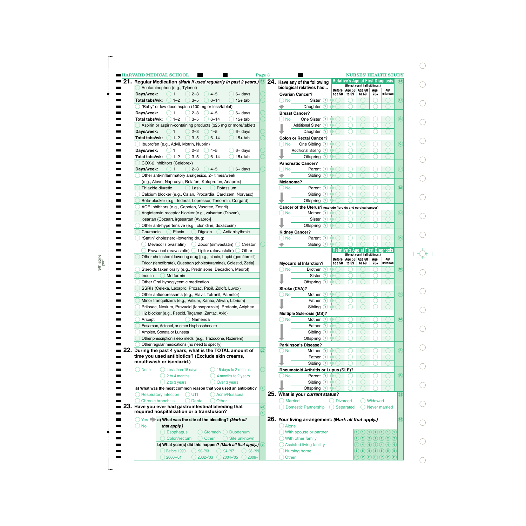| 21<br>Regular Medication (Mark if used regularly in past 2 years.) 21                      | Page 3       | 24. Have any of the following                                |                          |       | <b>NURSES' HEALTH STUDY</b><br><b>Relative's Age at First Diagnosis</b>                                                                                                                                                                   |                      |         |
|--------------------------------------------------------------------------------------------|--------------|--------------------------------------------------------------|--------------------------|-------|-------------------------------------------------------------------------------------------------------------------------------------------------------------------------------------------------------------------------------------------|----------------------|---------|
|                                                                                            |              | biological relatives had                                     |                          |       | (Do not count half siblings.)                                                                                                                                                                                                             |                      |         |
| Acetaminophen (e.g., Tylenol)                                                              |              |                                                              | Before Age 50 Age 60     |       |                                                                                                                                                                                                                                           | Age                  | Age     |
| Days/week:<br>$2 - 3$<br>$6+$ days<br>$4 - 5$                                              |              | <b>Ovarian Cancer?</b>                                       | age 50                   | to 59 | to 69                                                                                                                                                                                                                                     | 70+                  | unknown |
| $1 - 2$<br>Total tabs/wk:<br>$3 - 5$<br>$6 - 14$<br>$15+$ tab                              |              | Sister $(Y)$<br>No                                           |                          |       |                                                                                                                                                                                                                                           |                      |         |
| "Baby" or low dose aspirin (100 mg or less/tablet)                                         |              | Daughter $\vee$                                              |                          |       |                                                                                                                                                                                                                                           |                      |         |
| Days/week:<br>2–3<br>$4 - 5$<br>$6+$ days                                                  |              | <b>Breast Cancer?</b>                                        |                          |       |                                                                                                                                                                                                                                           |                      |         |
| $1 - 2$<br>Total tabs/wk:<br>$3 - 5$<br>$6 - 14$<br>$15+$ tab                              |              | $(\mathbf{Y})$<br>One Sister<br>No                           |                          |       |                                                                                                                                                                                                                                           |                      |         |
| Aspirin or aspirin-containing products (325 mg or more/tablet)                             |              | (Y)<br><b>Additional Sister</b>                              |                          |       |                                                                                                                                                                                                                                           |                      |         |
| $4 - 5$<br>Days/week:<br>$6+$ days<br>2–3                                                  |              | Daughter Y                                                   |                          |       |                                                                                                                                                                                                                                           |                      |         |
| $1 - 2$<br>Total tabs/wk:<br>$3 - 5$<br>$6 - 14$<br>$15+$ tab                              |              | <b>Colon or Rectal Cancer?</b>                               |                          |       |                                                                                                                                                                                                                                           |                      |         |
| Ibuprofen (e.g., Advil, Motrin, Nuprin)                                                    |              | One Sibling<br>(Y)<br>No                                     |                          |       |                                                                                                                                                                                                                                           |                      |         |
| Days/week:<br>$2 - 3$<br>$4 - 5$<br>6+ days                                                |              | (Y)<br><b>Additional Sibling</b>                             |                          |       |                                                                                                                                                                                                                                           |                      |         |
| $1 - 2$                                                                                    |              |                                                              |                          |       |                                                                                                                                                                                                                                           |                      |         |
| Total tabs/wk:<br>$3 - 5$<br>$6 - 14$<br>$15+$ tab                                         |              | Offspring $\vee$                                             |                          |       |                                                                                                                                                                                                                                           |                      |         |
| COX-2 inhibitors (Celebrex)                                                                |              | <b>Pancreatic Cancer?</b>                                    |                          |       |                                                                                                                                                                                                                                           |                      |         |
| Days/week:<br>$6+$ days<br>$2 - 3$<br>$4 - 5$                                              |              | Parent $\circled{r}$<br><b>No</b>                            |                          |       |                                                                                                                                                                                                                                           |                      |         |
| Other anti-inflammatory analgesics, 2+ times/week                                          |              | (Y)<br>Sibling                                               |                          |       |                                                                                                                                                                                                                                           |                      |         |
| (e.g., Aleve, Naprosyn, Relafen, Ketoprofen, Anaprox)                                      |              | Melanoma?                                                    |                          |       |                                                                                                                                                                                                                                           |                      |         |
| Thiazide diuretic<br>Lasix<br>Potassium                                                    |              | Parent (Y)<br><b>No</b>                                      |                          |       |                                                                                                                                                                                                                                           |                      |         |
| Calcium blocker (e.g., Calan, Procardia, Cardizem, Norvasc)                                |              | (Y)<br>Sibling                                               |                          |       |                                                                                                                                                                                                                                           |                      |         |
| Beta-blocker (e.g., Inderal, Lopressor, Tenormin, Corgard)                                 |              | (Y)<br>Offspring                                             |                          |       |                                                                                                                                                                                                                                           |                      |         |
|                                                                                            |              |                                                              |                          |       |                                                                                                                                                                                                                                           |                      |         |
| ACE Inhibitors (e.g., Capoten, Vasotec, Zestril)                                           |              | Cancer of the Uterus? (exclude fibroids and cervical cancer) |                          |       |                                                                                                                                                                                                                                           |                      |         |
| Angiotensin receptor blocker [e.g., valsartan (Diovan),                                    |              | Mother<br>(Y)<br><b>No</b>                                   |                          |       |                                                                                                                                                                                                                                           |                      |         |
| Iosartan (Cozaar), irgesartan (Avapro)]                                                    |              | Sister $(Y)$                                                 |                          |       |                                                                                                                                                                                                                                           |                      |         |
| Other anti-hypertensive (e.g., clonidine, doxazosin)                                       |              | (Y)<br>Offspring                                             |                          |       |                                                                                                                                                                                                                                           |                      |         |
| Coumadin<br>Plavix<br>Digoxin<br>Antiarrhythmic                                            |              | <b>Kidney Cancer?</b>                                        |                          |       |                                                                                                                                                                                                                                           |                      |         |
| "Statin" cholesterol-lowering drug:                                                        |              | Parent $\mathbf{\hat{Y}}$<br><b>No</b>                       |                          |       |                                                                                                                                                                                                                                           |                      |         |
| Mevacor (lovastatin)<br>Zocor (simvastatin)<br>Crestor                                     |              | Sibling $\circled{v}$                                        |                          |       |                                                                                                                                                                                                                                           |                      |         |
|                                                                                            |              |                                                              |                          |       | <b>Relative's Age at First Diagnosis</b>                                                                                                                                                                                                  |                      |         |
| Pravachol (pravastatin) $\bigcirc$ Lipitor (atorvastatin)<br>Other                         |              |                                                              |                          |       | (Do not count half siblings.)                                                                                                                                                                                                             |                      |         |
| Other cholesterol-lowering drug [e.g., niacin, Lopid (gemfibrozil),                        |              |                                                              | Before   Age 50   Age 60 |       |                                                                                                                                                                                                                                           | Age                  | Age     |
| Tricor (fenofibrate), Questran (cholestyramine), Colestid, Zetia]                          |              | <b>Myocardial Infarction?</b>                                | age 50                   | to 59 | to 69                                                                                                                                                                                                                                     | 70+                  | unknown |
| Steroids taken orally (e.g., Prednisone, Decadron, Medrol)                                 |              | Brother $(Y)$<br><b>No</b>                                   |                          |       |                                                                                                                                                                                                                                           |                      |         |
| Insulin<br>Metformin                                                                       |              | Sister<br>(Y)                                                |                          |       |                                                                                                                                                                                                                                           |                      |         |
| Other Oral hypoglycemic medication                                                         |              | (Y)<br>Offspring                                             |                          |       |                                                                                                                                                                                                                                           |                      |         |
| SSRIs (Celexa, Lexapro, Prozac, Paxil, Zoloft, Luvox)                                      |              | Stroke (CVA)?                                                |                          |       |                                                                                                                                                                                                                                           |                      |         |
| Other antidepressants (e.g., Elavil, Tofranil, Pamelor)                                    |              | Mother (Y)<br><b>No</b>                                      |                          |       |                                                                                                                                                                                                                                           |                      |         |
| Minor tranquilizers (e.g., Valium, Xanax, Ativan, Librium)                                 |              | Father $\circled{v}$                                         |                          |       |                                                                                                                                                                                                                                           |                      |         |
| Prilosec, Nexium, Prevacid (Iansoprazole), Protonix, Aciphex                               |              | Sibling $\circledcirc$                                       |                          |       |                                                                                                                                                                                                                                           |                      |         |
|                                                                                            |              |                                                              |                          |       |                                                                                                                                                                                                                                           |                      |         |
| H2 blocker (e.g., Pepcid, Tagamet, Zantac, Axid)                                           |              | <b>Multiple Sclerosis (MS)?</b>                              |                          |       |                                                                                                                                                                                                                                           |                      |         |
| Namenda<br>Aricept                                                                         |              | Mother $(Y)$<br><b>No</b>                                    |                          |       |                                                                                                                                                                                                                                           |                      |         |
| Fosamax, Actonel, or other bisphosphonate                                                  |              | Father $\circledcirc$                                        |                          |       |                                                                                                                                                                                                                                           |                      |         |
| Ambien. Sonata or Lunesta                                                                  |              | Sibling <sup>(Y)</sup>                                       |                          |       |                                                                                                                                                                                                                                           |                      |         |
| Other prescription sleep meds. (e.g., Trazodone, Rozerem)                                  |              | Offspring <sup>Y</sup>                                       |                          |       |                                                                                                                                                                                                                                           |                      |         |
| Other regular medications (no need to specify)                                             |              | Parkinson's Disease?                                         |                          |       |                                                                                                                                                                                                                                           |                      |         |
| During the past 4 years, what is the TOTAL amount of                                       | (22)         | Mother $(Y)$<br><b>No</b>                                    |                          |       |                                                                                                                                                                                                                                           |                      |         |
| time you used antibiotics? (Exclude skin creams,                                           |              | Father $(Y)$ $\rightarrow$ $\bigcirc$                        |                          |       |                                                                                                                                                                                                                                           |                      |         |
| mouthwash or isoniazid.)                                                                   |              |                                                              |                          |       |                                                                                                                                                                                                                                           |                      |         |
|                                                                                            |              | Sibling <sup>Y</sup>                                         |                          |       |                                                                                                                                                                                                                                           |                      |         |
| <b>None</b><br>$\bigcirc$ Less than 15 days<br>$\big)$ 15 days to 2 months                 |              | <b>Rheumatoid Arthritis or Lupus (SLE)?</b>                  |                          |       |                                                                                                                                                                                                                                           |                      |         |
| 2 to 4 months<br>4 months to 2 years                                                       |              | Parent $\left(\overline{Y}\right)$<br>No                     |                          |       |                                                                                                                                                                                                                                           |                      |         |
| 2 to 3 years<br>Over 3 years                                                               |              | Sibling <sup>(Y)</sup>                                       |                          |       |                                                                                                                                                                                                                                           |                      |         |
| a) What was the most common reason that you used an antibiotic?                            |              | Offspring <sup>Y</sup>                                       |                          |       |                                                                                                                                                                                                                                           |                      |         |
|                                                                                            |              | 25. What is your current status?                             |                          |       |                                                                                                                                                                                                                                           |                      |         |
|                                                                                            |              |                                                              |                          |       |                                                                                                                                                                                                                                           |                      |         |
| <b>Respiratory infection</b><br>UTI<br>Acne/Rosacea                                        |              | <b>Married</b>                                               | () Divorced              |       |                                                                                                                                                                                                                                           | Widowed              |         |
| <b>Chronic bronchitis</b><br>Other<br><b>Dental</b>                                        | (23)         | <b>Domestic Partnership</b>                                  | Separated                |       |                                                                                                                                                                                                                                           | <b>Never married</b> |         |
|                                                                                            |              |                                                              |                          |       |                                                                                                                                                                                                                                           |                      |         |
| required hospitalization or a transfusion?                                                 |              |                                                              |                          |       |                                                                                                                                                                                                                                           |                      |         |
| $\bigcirc$ Yes $\blacktriangleright$ a) What was the site of the bleeding? (Mark all       |              | 26. Your living arrangement: (Mark all that apply.)          |                          |       |                                                                                                                                                                                                                                           |                      |         |
| ( ) No                                                                                     |              | Alone                                                        |                          |       |                                                                                                                                                                                                                                           |                      |         |
| that apply.)                                                                               |              |                                                              |                          |       |                                                                                                                                                                                                                                           |                      |         |
| Have you ever had gastrointestinal bleeding that<br>Stomach ( Duodenum<br><b>Esophagus</b> |              | ) With spouse or partner                                     |                          |       | $\mathfrak{D}\hspace{0.05cm} \mathfrak{D}\hspace{0.05cm} \mathfrak{D}\hspace{0.05cm} \mathfrak{D}\hspace{0.05cm} \mathfrak{D}\hspace{0.05cm} \mathfrak{D}\hspace{0.05cm} \mathfrak{D}$                                                    |                      |         |
| Other<br>Site unknown<br>Colon/rectum                                                      |              | With other family                                            |                          |       | 2) 2) 2) 2) 2) 2) 2)                                                                                                                                                                                                                      |                      |         |
| b) What year(s) did this happen? (Mark all that apply.)                                    | $\mathbf{b}$ | Assisted living facility                                     |                          |       | $\bigcirc$ (4) (4) (4) (4) (4) (4) (4)                                                                                                                                                                                                    |                      |         |
| $\bigcirc$ '94–'97<br>Before 1990<br>$'90 - '93$<br>$\bigcirc$ '98–'99'                    |              | <b>Nursing home</b>                                          |                          |       | 8 8 8 8 8 8 8 8<br>$\widehat{\mathsf{P}}\left(\widehat{\mathsf{P}}\right)\widehat{\mathsf{P}}\left(\widehat{\mathsf{P}}\right)\widehat{\mathsf{P}}\left(\widehat{\mathsf{P}}\right)\widehat{\mathsf{P}}\left(\widehat{\mathsf{P}}\right)$ |                      |         |

| <b>URSES' HEALTH STUDY</b><br>s Age at First Diagnosis<br>(24)<br>not count half siblings.)<br>e 50   Age 60<br>Age<br>Age<br>59<br>to 69<br>70+<br>unknown<br>$\mathbf{(o)}$<br>(B)<br>$(\mathbf{c})$<br>$(\mathsf{P})$<br>(M)<br>and cervical cancer)<br>$(\boldsymbol{\sf U})$<br>$(\mathsf{K})$<br>s Age at First Diagnosis<br>not count half siblings.)<br>e 50<br>Age 60<br>Age<br>Age<br>59<br>70+<br>unknown<br>to 69<br>(MI)<br>$\circled{s}$<br>$\circledR$<br>$\left( \widehat{\mathsf{P}}\right)$<br><u>)?</u><br>$(\mathsf{R})$<br>(25)<br>◯ Widowed<br>đ<br>ted (<br>Never married<br>(26)<br>Ill that apply.)<br>2) 2) 2) 2) 2) 2) 2)<br>$\left( 4\right) \left( 4\right) \left( 4\right) \left( 4\right) \left( 4\right) \left( 4\right) \left( 4\right)$<br>$\begin{pmatrix} 8 & 0 & 0 \\ 0 & 0 & 0 \\ 0 & 0 & 0 \\ 0 & 0 & 0 \\ 0 & 0 & 0 \\ 0 & 0 & 0 \\ 0 & 0 & 0 \\ 0 & 0 & 0 & 0 \\ 0 & 0 & 0 & 0 \\ 0 & 0 & 0 & 0 \\ 0 & 0 & 0 & 0 & 0 \\ 0 & 0 & 0 & 0 & 0 \\ 0 & 0 & 0 & 0 & 0 \\ 0 & 0 & 0 & 0 & 0 & 0 \\ 0 & 0 & 0 & 0 & 0 & 0 \\ 0 & 0 & 0 & 0 & 0 & 0 & 0 \\ 0 & 0 & 0 & 0 & $<br>$\mathsf{P}(\mathsf{P})\mathsf{P}(\mathsf{P})\mathsf{P}(\mathsf{P})\mathsf{P}(\mathsf{P})\mathsf{P}$ |  |  |  |
|---------------------------------------------------------------------------------------------------------------------------------------------------------------------------------------------------------------------------------------------------------------------------------------------------------------------------------------------------------------------------------------------------------------------------------------------------------------------------------------------------------------------------------------------------------------------------------------------------------------------------------------------------------------------------------------------------------------------------------------------------------------------------------------------------------------------------------------------------------------------------------------------------------------------------------------------------------------------------------------------------------------------------------------------------------------------------------------------------------------------------------------------------------------------------------------------------------------------|--|--|--|
|                                                                                                                                                                                                                                                                                                                                                                                                                                                                                                                                                                                                                                                                                                                                                                                                                                                                                                                                                                                                                                                                                                                                                                                                                     |  |  |  |
|                                                                                                                                                                                                                                                                                                                                                                                                                                                                                                                                                                                                                                                                                                                                                                                                                                                                                                                                                                                                                                                                                                                                                                                                                     |  |  |  |
|                                                                                                                                                                                                                                                                                                                                                                                                                                                                                                                                                                                                                                                                                                                                                                                                                                                                                                                                                                                                                                                                                                                                                                                                                     |  |  |  |
|                                                                                                                                                                                                                                                                                                                                                                                                                                                                                                                                                                                                                                                                                                                                                                                                                                                                                                                                                                                                                                                                                                                                                                                                                     |  |  |  |
|                                                                                                                                                                                                                                                                                                                                                                                                                                                                                                                                                                                                                                                                                                                                                                                                                                                                                                                                                                                                                                                                                                                                                                                                                     |  |  |  |
|                                                                                                                                                                                                                                                                                                                                                                                                                                                                                                                                                                                                                                                                                                                                                                                                                                                                                                                                                                                                                                                                                                                                                                                                                     |  |  |  |
|                                                                                                                                                                                                                                                                                                                                                                                                                                                                                                                                                                                                                                                                                                                                                                                                                                                                                                                                                                                                                                                                                                                                                                                                                     |  |  |  |
|                                                                                                                                                                                                                                                                                                                                                                                                                                                                                                                                                                                                                                                                                                                                                                                                                                                                                                                                                                                                                                                                                                                                                                                                                     |  |  |  |
|                                                                                                                                                                                                                                                                                                                                                                                                                                                                                                                                                                                                                                                                                                                                                                                                                                                                                                                                                                                                                                                                                                                                                                                                                     |  |  |  |
|                                                                                                                                                                                                                                                                                                                                                                                                                                                                                                                                                                                                                                                                                                                                                                                                                                                                                                                                                                                                                                                                                                                                                                                                                     |  |  |  |
|                                                                                                                                                                                                                                                                                                                                                                                                                                                                                                                                                                                                                                                                                                                                                                                                                                                                                                                                                                                                                                                                                                                                                                                                                     |  |  |  |
|                                                                                                                                                                                                                                                                                                                                                                                                                                                                                                                                                                                                                                                                                                                                                                                                                                                                                                                                                                                                                                                                                                                                                                                                                     |  |  |  |
|                                                                                                                                                                                                                                                                                                                                                                                                                                                                                                                                                                                                                                                                                                                                                                                                                                                                                                                                                                                                                                                                                                                                                                                                                     |  |  |  |
|                                                                                                                                                                                                                                                                                                                                                                                                                                                                                                                                                                                                                                                                                                                                                                                                                                                                                                                                                                                                                                                                                                                                                                                                                     |  |  |  |
|                                                                                                                                                                                                                                                                                                                                                                                                                                                                                                                                                                                                                                                                                                                                                                                                                                                                                                                                                                                                                                                                                                                                                                                                                     |  |  |  |
|                                                                                                                                                                                                                                                                                                                                                                                                                                                                                                                                                                                                                                                                                                                                                                                                                                                                                                                                                                                                                                                                                                                                                                                                                     |  |  |  |
|                                                                                                                                                                                                                                                                                                                                                                                                                                                                                                                                                                                                                                                                                                                                                                                                                                                                                                                                                                                                                                                                                                                                                                                                                     |  |  |  |
|                                                                                                                                                                                                                                                                                                                                                                                                                                                                                                                                                                                                                                                                                                                                                                                                                                                                                                                                                                                                                                                                                                                                                                                                                     |  |  |  |
|                                                                                                                                                                                                                                                                                                                                                                                                                                                                                                                                                                                                                                                                                                                                                                                                                                                                                                                                                                                                                                                                                                                                                                                                                     |  |  |  |
|                                                                                                                                                                                                                                                                                                                                                                                                                                                                                                                                                                                                                                                                                                                                                                                                                                                                                                                                                                                                                                                                                                                                                                                                                     |  |  |  |
|                                                                                                                                                                                                                                                                                                                                                                                                                                                                                                                                                                                                                                                                                                                                                                                                                                                                                                                                                                                                                                                                                                                                                                                                                     |  |  |  |
|                                                                                                                                                                                                                                                                                                                                                                                                                                                                                                                                                                                                                                                                                                                                                                                                                                                                                                                                                                                                                                                                                                                                                                                                                     |  |  |  |
|                                                                                                                                                                                                                                                                                                                                                                                                                                                                                                                                                                                                                                                                                                                                                                                                                                                                                                                                                                                                                                                                                                                                                                                                                     |  |  |  |
|                                                                                                                                                                                                                                                                                                                                                                                                                                                                                                                                                                                                                                                                                                                                                                                                                                                                                                                                                                                                                                                                                                                                                                                                                     |  |  |  |
|                                                                                                                                                                                                                                                                                                                                                                                                                                                                                                                                                                                                                                                                                                                                                                                                                                                                                                                                                                                                                                                                                                                                                                                                                     |  |  |  |
|                                                                                                                                                                                                                                                                                                                                                                                                                                                                                                                                                                                                                                                                                                                                                                                                                                                                                                                                                                                                                                                                                                                                                                                                                     |  |  |  |
|                                                                                                                                                                                                                                                                                                                                                                                                                                                                                                                                                                                                                                                                                                                                                                                                                                                                                                                                                                                                                                                                                                                                                                                                                     |  |  |  |
|                                                                                                                                                                                                                                                                                                                                                                                                                                                                                                                                                                                                                                                                                                                                                                                                                                                                                                                                                                                                                                                                                                                                                                                                                     |  |  |  |
|                                                                                                                                                                                                                                                                                                                                                                                                                                                                                                                                                                                                                                                                                                                                                                                                                                                                                                                                                                                                                                                                                                                                                                                                                     |  |  |  |
|                                                                                                                                                                                                                                                                                                                                                                                                                                                                                                                                                                                                                                                                                                                                                                                                                                                                                                                                                                                                                                                                                                                                                                                                                     |  |  |  |
|                                                                                                                                                                                                                                                                                                                                                                                                                                                                                                                                                                                                                                                                                                                                                                                                                                                                                                                                                                                                                                                                                                                                                                                                                     |  |  |  |
|                                                                                                                                                                                                                                                                                                                                                                                                                                                                                                                                                                                                                                                                                                                                                                                                                                                                                                                                                                                                                                                                                                                                                                                                                     |  |  |  |
|                                                                                                                                                                                                                                                                                                                                                                                                                                                                                                                                                                                                                                                                                                                                                                                                                                                                                                                                                                                                                                                                                                                                                                                                                     |  |  |  |
|                                                                                                                                                                                                                                                                                                                                                                                                                                                                                                                                                                                                                                                                                                                                                                                                                                                                                                                                                                                                                                                                                                                                                                                                                     |  |  |  |
|                                                                                                                                                                                                                                                                                                                                                                                                                                                                                                                                                                                                                                                                                                                                                                                                                                                                                                                                                                                                                                                                                                                                                                                                                     |  |  |  |
|                                                                                                                                                                                                                                                                                                                                                                                                                                                                                                                                                                                                                                                                                                                                                                                                                                                                                                                                                                                                                                                                                                                                                                                                                     |  |  |  |
|                                                                                                                                                                                                                                                                                                                                                                                                                                                                                                                                                                                                                                                                                                                                                                                                                                                                                                                                                                                                                                                                                                                                                                                                                     |  |  |  |
|                                                                                                                                                                                                                                                                                                                                                                                                                                                                                                                                                                                                                                                                                                                                                                                                                                                                                                                                                                                                                                                                                                                                                                                                                     |  |  |  |
|                                                                                                                                                                                                                                                                                                                                                                                                                                                                                                                                                                                                                                                                                                                                                                                                                                                                                                                                                                                                                                                                                                                                                                                                                     |  |  |  |
|                                                                                                                                                                                                                                                                                                                                                                                                                                                                                                                                                                                                                                                                                                                                                                                                                                                                                                                                                                                                                                                                                                                                                                                                                     |  |  |  |
|                                                                                                                                                                                                                                                                                                                                                                                                                                                                                                                                                                                                                                                                                                                                                                                                                                                                                                                                                                                                                                                                                                                                                                                                                     |  |  |  |
|                                                                                                                                                                                                                                                                                                                                                                                                                                                                                                                                                                                                                                                                                                                                                                                                                                                                                                                                                                                                                                                                                                                                                                                                                     |  |  |  |
|                                                                                                                                                                                                                                                                                                                                                                                                                                                                                                                                                                                                                                                                                                                                                                                                                                                                                                                                                                                                                                                                                                                                                                                                                     |  |  |  |
|                                                                                                                                                                                                                                                                                                                                                                                                                                                                                                                                                                                                                                                                                                                                                                                                                                                                                                                                                                                                                                                                                                                                                                                                                     |  |  |  |
|                                                                                                                                                                                                                                                                                                                                                                                                                                                                                                                                                                                                                                                                                                                                                                                                                                                                                                                                                                                                                                                                                                                                                                                                                     |  |  |  |
|                                                                                                                                                                                                                                                                                                                                                                                                                                                                                                                                                                                                                                                                                                                                                                                                                                                                                                                                                                                                                                                                                                                                                                                                                     |  |  |  |
|                                                                                                                                                                                                                                                                                                                                                                                                                                                                                                                                                                                                                                                                                                                                                                                                                                                                                                                                                                                                                                                                                                                                                                                                                     |  |  |  |
|                                                                                                                                                                                                                                                                                                                                                                                                                                                                                                                                                                                                                                                                                                                                                                                                                                                                                                                                                                                                                                                                                                                                                                                                                     |  |  |  |
|                                                                                                                                                                                                                                                                                                                                                                                                                                                                                                                                                                                                                                                                                                                                                                                                                                                                                                                                                                                                                                                                                                                                                                                                                     |  |  |  |
|                                                                                                                                                                                                                                                                                                                                                                                                                                                                                                                                                                                                                                                                                                                                                                                                                                                                                                                                                                                                                                                                                                                                                                                                                     |  |  |  |
|                                                                                                                                                                                                                                                                                                                                                                                                                                                                                                                                                                                                                                                                                                                                                                                                                                                                                                                                                                                                                                                                                                                                                                                                                     |  |  |  |
|                                                                                                                                                                                                                                                                                                                                                                                                                                                                                                                                                                                                                                                                                                                                                                                                                                                                                                                                                                                                                                                                                                                                                                                                                     |  |  |  |
|                                                                                                                                                                                                                                                                                                                                                                                                                                                                                                                                                                                                                                                                                                                                                                                                                                                                                                                                                                                                                                                                                                                                                                                                                     |  |  |  |
|                                                                                                                                                                                                                                                                                                                                                                                                                                                                                                                                                                                                                                                                                                                                                                                                                                                                                                                                                                                                                                                                                                                                                                                                                     |  |  |  |
|                                                                                                                                                                                                                                                                                                                                                                                                                                                                                                                                                                                                                                                                                                                                                                                                                                                                                                                                                                                                                                                                                                                                                                                                                     |  |  |  |
|                                                                                                                                                                                                                                                                                                                                                                                                                                                                                                                                                                                                                                                                                                                                                                                                                                                                                                                                                                                                                                                                                                                                                                                                                     |  |  |  |
|                                                                                                                                                                                                                                                                                                                                                                                                                                                                                                                                                                                                                                                                                                                                                                                                                                                                                                                                                                                                                                                                                                                                                                                                                     |  |  |  |
|                                                                                                                                                                                                                                                                                                                                                                                                                                                                                                                                                                                                                                                                                                                                                                                                                                                                                                                                                                                                                                                                                                                                                                                                                     |  |  |  |
|                                                                                                                                                                                                                                                                                                                                                                                                                                                                                                                                                                                                                                                                                                                                                                                                                                                                                                                                                                                                                                                                                                                                                                                                                     |  |  |  |
|                                                                                                                                                                                                                                                                                                                                                                                                                                                                                                                                                                                                                                                                                                                                                                                                                                                                                                                                                                                                                                                                                                                                                                                                                     |  |  |  |
|                                                                                                                                                                                                                                                                                                                                                                                                                                                                                                                                                                                                                                                                                                                                                                                                                                                                                                                                                                                                                                                                                                                                                                                                                     |  |  |  |
|                                                                                                                                                                                                                                                                                                                                                                                                                                                                                                                                                                                                                                                                                                                                                                                                                                                                                                                                                                                                                                                                                                                                                                                                                     |  |  |  |
|                                                                                                                                                                                                                                                                                                                                                                                                                                                                                                                                                                                                                                                                                                                                                                                                                                                                                                                                                                                                                                                                                                                                                                                                                     |  |  |  |
|                                                                                                                                                                                                                                                                                                                                                                                                                                                                                                                                                                                                                                                                                                                                                                                                                                                                                                                                                                                                                                                                                                                                                                                                                     |  |  |  |
|                                                                                                                                                                                                                                                                                                                                                                                                                                                                                                                                                                                                                                                                                                                                                                                                                                                                                                                                                                                                                                                                                                                                                                                                                     |  |  |  |
|                                                                                                                                                                                                                                                                                                                                                                                                                                                                                                                                                                                                                                                                                                                                                                                                                                                                                                                                                                                                                                                                                                                                                                                                                     |  |  |  |
|                                                                                                                                                                                                                                                                                                                                                                                                                                                                                                                                                                                                                                                                                                                                                                                                                                                                                                                                                                                                                                                                                                                                                                                                                     |  |  |  |
|                                                                                                                                                                                                                                                                                                                                                                                                                                                                                                                                                                                                                                                                                                                                                                                                                                                                                                                                                                                                                                                                                                                                                                                                                     |  |  |  |
|                                                                                                                                                                                                                                                                                                                                                                                                                                                                                                                                                                                                                                                                                                                                                                                                                                                                                                                                                                                                                                                                                                                                                                                                                     |  |  |  |
|                                                                                                                                                                                                                                                                                                                                                                                                                                                                                                                                                                                                                                                                                                                                                                                                                                                                                                                                                                                                                                                                                                                                                                                                                     |  |  |  |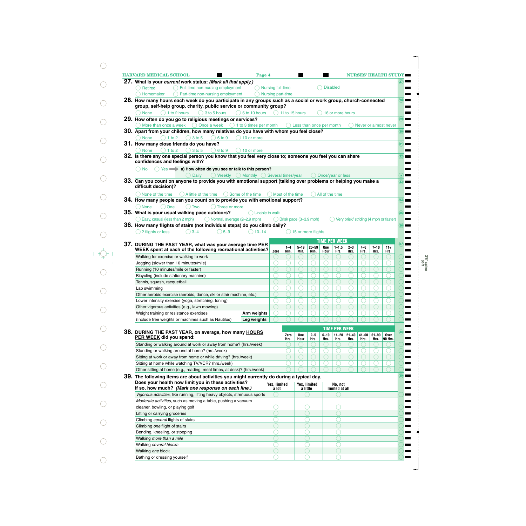| <b>HARVARD MEDICAL SCHOOL</b><br>Page 4                                                                                                                                                      |                   |                      | <b>Contract</b>  |                          | <b>START</b>    |                      |                 |               |                  | <b>NURSES' HEALTH STUDY</b>            |                 |
|----------------------------------------------------------------------------------------------------------------------------------------------------------------------------------------------|-------------------|----------------------|------------------|--------------------------|-----------------|----------------------|-----------------|---------------|------------------|----------------------------------------|-----------------|
| 27. What is your current work status: (Mark all that apply.)                                                                                                                                 |                   |                      |                  |                          |                 |                      |                 |               |                  |                                        |                 |
| ◯ Full-time non-nursing employment<br>◯ Nursing full-time<br><b>Retired</b>                                                                                                                  |                   |                      |                  |                          | <b>Disabled</b> |                      |                 |               |                  |                                        |                 |
| Part-time non-nursing employment<br>Homemaker                                                                                                                                                | Nursing part-time |                      |                  |                          |                 |                      |                 |               |                  |                                        |                 |
| 28. How many hours <u>each week</u> do you participate in any groups such as a social or work group, church-connected<br>group, self-help group, charity, public service or community group? |                   |                      |                  |                          |                 |                      |                 |               |                  |                                        | 28              |
| $\bigcirc$ 3 to 5 hours<br>$\bigcirc$ 6 to 10 hours<br>$( ) 1$ to 2 hours<br><b>None</b>                                                                                                     |                   | $( ) 11$ to 15 hours |                  |                          |                 | 16 or more hours     |                 |               |                  |                                        |                 |
| 29. How often do you go to religious meetings or services?                                                                                                                                   |                   |                      |                  |                          |                 |                      |                 |               |                  |                                        | (29)            |
| More than once a week $\bigcirc$ Once a week $\bigcirc$ 1 to 3 times per month                                                                                                               |                   |                      |                  | Less than once per month |                 |                      |                 |               |                  | Never or almost never                  |                 |
| 30. Apart from your children, how many relatives do you have with whom you feel close?                                                                                                       |                   |                      |                  |                          |                 |                      |                 |               |                  |                                        | 30 <sub>o</sub> |
| $()1$ to 2<br>3 to 5<br>6 to 9<br>$( ) 10$ or more<br>(<br>None                                                                                                                              |                   |                      |                  |                          |                 |                      |                 |               |                  |                                        |                 |
| 31. How many close friends do you have?                                                                                                                                                      |                   |                      |                  |                          |                 |                      |                 |               |                  |                                        | (31)            |
| $()1$ to 2<br>$()$ 3 to 5<br><b>None</b><br>$($ )<br>6 to 9<br>10 or more<br>32. Is there any one special person you know that you feel very close to; someone you feel you can share        |                   |                      |                  |                          |                 |                      |                 |               |                  |                                        |                 |
| confidences and feelings with?                                                                                                                                                               |                   |                      |                  |                          |                 |                      |                 |               |                  |                                        | 32)             |
| $\bigcirc$ Yes $\longrightarrow$ a) How often do you see or talk to this person?<br>$()$ No                                                                                                  |                   |                      |                  |                          |                 |                      |                 |               |                  |                                        |                 |
| <b>Daily</b><br>$\bigcirc$ Weekly $\bigcirc$ Monthly $\bigcirc$ Several times/year                                                                                                           |                   |                      |                  |                          |                 | Once/vear or less    |                 |               |                  |                                        | $\mathbf{a}$ )  |
| 33. Can you count on anyone to provide you with emotional support (talking over problems or helping you make a                                                                               |                   |                      |                  |                          |                 |                      |                 |               |                  |                                        | 33              |
| difficult decision)?                                                                                                                                                                         |                   |                      |                  |                          |                 |                      |                 |               |                  |                                        |                 |
| $\bigcap$ A little of the time<br>) None of the time<br>() Some of the time                                                                                                                  |                   | Most of the time     |                  |                          | All of the time |                      |                 |               |                  |                                        |                 |
| 34. How many people can you count on to provide you with emotional support?                                                                                                                  |                   |                      |                  |                          |                 |                      |                 |               |                  |                                        | (34)            |
| One<br>$()$ Two<br>$\bigcap$ Three or more<br>None                                                                                                                                           |                   |                      |                  |                          |                 |                      |                 |               |                  |                                        |                 |
| 35. What is your usual walking pace outdoors?<br>$\bigcap$ Unable to walk                                                                                                                    |                   |                      |                  |                          |                 |                      |                 |               |                  |                                        | 35 <sub>o</sub> |
| Easy, casual (less than 2 mph)<br>O Normal, average (2-2.9 mph)                                                                                                                              |                   |                      |                  | Brisk pace (3-3.9 mph)   |                 |                      |                 |               |                  | Very brisk/ striding (4 mph or faster) |                 |
| 36. How many flights of stairs (not individual steps) do you climb daily?                                                                                                                    |                   |                      |                  |                          |                 |                      |                 |               |                  |                                        | 36              |
| 2 flights or less<br>$()3-4$<br>$5 - 9$<br>$()10-14$                                                                                                                                         |                   |                      |                  | 15 or more flights       |                 |                      |                 |               |                  |                                        |                 |
| 37. DURING THE PAST YEAR, what was your average time PER                                                                                                                                     |                   |                      |                  |                          |                 | <b>TIME PER WEEK</b> |                 |               |                  |                                        | (37)            |
| WEEK spent at each of the following recreational activities?                                                                                                                                 | Zero              | $1 - 4$<br>Min.      | $5 - 19$<br>Min. | $20 - 59$<br>Min.        | One<br>Hour     | $1 - 1.5$<br>Hrs.    | $2 - 3$<br>Hrs. | $4-6$<br>Hrs. | $7 - 10$<br>Hrs. | $11+$<br>Hrs.                          |                 |
| Walking for exercise or walking to work                                                                                                                                                      |                   |                      |                  |                          |                 |                      |                 |               |                  |                                        |                 |
| Jogging (slower than 10 minutes/mile)                                                                                                                                                        |                   |                      |                  |                          |                 |                      |                 |               |                  |                                        |                 |
| Running (10 minutes/mile or faster)                                                                                                                                                          |                   |                      |                  |                          |                 |                      |                 |               |                  |                                        |                 |
| Bicycling (include stationary machine)                                                                                                                                                       |                   |                      |                  |                          |                 |                      |                 |               |                  |                                        |                 |
|                                                                                                                                                                                              |                   |                      |                  |                          |                 |                      |                 |               |                  |                                        |                 |
| Tennis, squash, racquetball                                                                                                                                                                  |                   |                      |                  |                          |                 |                      |                 |               |                  |                                        |                 |
| Lap swimming                                                                                                                                                                                 |                   |                      |                  |                          |                 |                      |                 |               |                  |                                        |                 |
| Other aerobic exercise (aerobic, dance, ski or stair machine, etc.)                                                                                                                          |                   |                      |                  |                          |                 |                      |                 |               |                  |                                        |                 |
| Lower intensity exercise (yoga, stretching, toning)                                                                                                                                          |                   |                      |                  |                          |                 |                      |                 |               |                  |                                        |                 |
| Other vigorous activities (e.g., lawn mowing)                                                                                                                                                |                   |                      |                  |                          |                 |                      |                 |               |                  |                                        |                 |
| Weight training or resistance exercises<br>Arm weights                                                                                                                                       |                   |                      |                  |                          |                 |                      |                 |               |                  |                                        |                 |
| (Include free weights or machines such as Nautilus)<br>Leg weights                                                                                                                           |                   |                      |                  |                          |                 |                      |                 |               |                  |                                        |                 |
|                                                                                                                                                                                              |                   |                      |                  |                          |                 | <b>TIME PER WEEK</b> |                 |               |                  |                                        |                 |
| 38. DURING THE PAST YEAR, on average, how many HOURS                                                                                                                                         |                   | Zero                 | One              | $2 - 5$                  | $6 - 10$        |                      | $11 - 20$ 21-40 | $41 - 60$     | $61 - 90$        | Over                                   | (38)            |
| PER WEEK did you spend:                                                                                                                                                                      |                   | Hrs.                 | Hour             | Hrs.                     | Hrs.            | Hrs.                 | Hrs.            | Hrs.          | Hrs.             | 90 Hrs.                                |                 |
| Standing or walking around at work or away from home? (hrs./week)                                                                                                                            |                   |                      |                  |                          |                 |                      |                 |               |                  |                                        |                 |
| Standing or walking around at home? (hrs./week)                                                                                                                                              |                   |                      |                  |                          |                 |                      |                 |               |                  |                                        |                 |
| Sitting at work or away from home or while driving? (hrs./week)                                                                                                                              |                   |                      |                  |                          |                 |                      |                 |               |                  |                                        |                 |
| Sitting at home while watching TV/VCR? (hrs./week)                                                                                                                                           |                   |                      |                  |                          |                 |                      |                 |               |                  |                                        |                 |
| Other sitting at home (e.g., reading, meal times, at desk)? (hrs./week)                                                                                                                      |                   |                      |                  |                          |                 |                      |                 |               |                  |                                        |                 |
| 39. The following items are about activities you might currently do during a typical day.                                                                                                    |                   |                      |                  |                          |                 |                      |                 |               |                  |                                        | 39              |
| Does your health now limit you in these activities?                                                                                                                                          | Yes, limited      |                      |                  | Yes, limited             |                 | No, not              |                 |               |                  |                                        |                 |
| If so, how much? (Mark one response on each line.)                                                                                                                                           | a lot             |                      |                  | a little                 |                 | limited at all       |                 |               |                  |                                        |                 |
| Vigorous activities, like running, lifting heavy objects, strenuous sports                                                                                                                   |                   |                      |                  |                          |                 |                      |                 |               |                  |                                        |                 |
|                                                                                                                                                                                              |                   |                      |                  |                          |                 |                      |                 |               |                  |                                        |                 |
| Moderate activities, such as moving a table, pushing a vacuum                                                                                                                                |                   |                      |                  |                          |                 |                      |                 |               |                  |                                        |                 |
| cleaner, bowling, or playing golf                                                                                                                                                            |                   |                      |                  |                          |                 |                      |                 |               |                  |                                        |                 |
| Lifting or carrying groceries                                                                                                                                                                |                   |                      |                  |                          |                 |                      |                 |               |                  |                                        |                 |
| Climbing several flights of stairs                                                                                                                                                           |                   |                      |                  |                          |                 |                      |                 |               |                  |                                        |                 |
| Climbing one flight of stairs                                                                                                                                                                |                   |                      |                  |                          |                 |                      |                 |               |                  |                                        |                 |
| Bending, kneeling, or stooping                                                                                                                                                               |                   |                      |                  |                          |                 |                      |                 |               |                  |                                        |                 |
| Walking more than a mile                                                                                                                                                                     |                   |                      |                  |                          |                 |                      |                 |               |                  |                                        |                 |
| Walking several blocks                                                                                                                                                                       |                   |                      |                  |                          |                 |                      |                 |               |                  |                                        |                 |
| Walking one block                                                                                                                                                                            |                   |                      |                  |                          |                 |                      |                 |               |                  |                                        |                 |
| Bathing or dressing yourself                                                                                                                                                                 |                   |                      |                  |                          |                 |                      |                 |               |                  |                                        |                 |

 $\bigcirc$ 

 $\bigcirc$ 

 $\bigcirc$ 

 $\bigcirc$ 

 $\bigcirc$ 

 $\bigcirc$ 

 $\bigcirc$ 

 $\bigcirc$ 

 $\bigcirc$ 

 $\bigcirc$ 

 $\bigcirc$ 

 $\bigcirc$ 

 $\bigcirc$ 

 $\bigcirc$ 

 $\bigcirc$ 

 $\bigcirc$ 

 $\bigcirc$ 

 $\bigcirc$ 

 $\bigcirc$ 

3/8" spine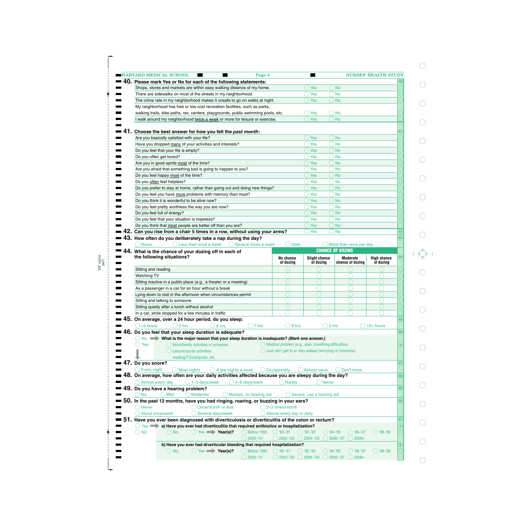|                     | <b>HARVARD MEDICAL SCHOOL</b><br>Page 5                                                                                       |                           |                                                         |                                   | <b>NURSES' HEALTH STUDY</b> |
|---------------------|-------------------------------------------------------------------------------------------------------------------------------|---------------------------|---------------------------------------------------------|-----------------------------------|-----------------------------|
|                     | 40. Please mark Yes or No for each of the following statements:                                                               |                           |                                                         |                                   |                             |
|                     | Shops, stores and markets are within easy walking distance of my home.                                                        |                           | <b>Yes</b>                                              | No                                |                             |
|                     | There are sidewalks on most of the streets in my neighborhood.                                                                |                           | Yes                                                     | <b>No</b>                         |                             |
|                     | The crime rate in my neighborhood makes it unsafe to go on walks at night.                                                    |                           | <b>Yes</b>                                              | <b>No</b>                         |                             |
|                     | My neighborhood has free or low cost recreation facilities, such as parks,                                                    |                           |                                                         |                                   |                             |
|                     |                                                                                                                               |                           |                                                         |                                   |                             |
|                     | walking trails, bike paths, rec. centers, playgrounds, public swimming pools, etc.                                            |                           | Yes                                                     | ) No                              |                             |
|                     | I walk around my neighborhood twice a week or more for leisure or exercise.                                                   |                           | <b>Yes</b>                                              | <b>No</b>                         |                             |
|                     |                                                                                                                               |                           |                                                         |                                   |                             |
|                     | Choose the best answer for how you felt the past month:                                                                       |                           |                                                         |                                   |                             |
|                     | Are you basically satisfied with your life?                                                                                   |                           | <b>Yes</b>                                              | <b>No</b>                         |                             |
|                     | Have you dropped many of your activities and interests?                                                                       |                           | Yes                                                     | <b>No</b>                         |                             |
|                     | Do you feel that your life is empty?                                                                                          |                           | <b>Yes</b>                                              | <b>No</b>                         |                             |
|                     |                                                                                                                               |                           |                                                         |                                   |                             |
|                     | Do you often get bored?                                                                                                       |                           | Yes                                                     | No                                |                             |
|                     | Are you in good spirits most of the time?                                                                                     |                           | <b>Yes</b>                                              | <b>No</b>                         |                             |
|                     | Are you afraid that something bad is going to happen to you?                                                                  |                           | Yes                                                     | No                                |                             |
|                     | Do you feel happy most of the time?                                                                                           |                           | <b>Yes</b>                                              | <b>No</b>                         |                             |
|                     | Do you often feel helpless?                                                                                                   |                           | Yes                                                     | No                                |                             |
|                     | Do you prefer to stay at home, rather than going out and doing new things?                                                    |                           | <b>Yes</b>                                              | <b>No</b>                         |                             |
|                     | Do you feel you have more problems with memory than most?                                                                     |                           | Yes                                                     | No                                |                             |
|                     |                                                                                                                               |                           |                                                         |                                   |                             |
|                     | Do you think it is wonderful to be alive now?                                                                                 |                           | <b>Yes</b>                                              | <b>No</b>                         |                             |
|                     | Do you feel pretty worthless the way you are now?                                                                             |                           | Yes                                                     | No                                |                             |
|                     | Do you feel full of energy?                                                                                                   |                           | <b>Yes</b>                                              | <b>No</b>                         |                             |
|                     | Do you feel that your situation is hopeless?                                                                                  |                           | Yes                                                     | No                                |                             |
|                     | Do you think that most people are better off than you are?                                                                    |                           | <b>Yes</b>                                              | <b>No</b>                         |                             |
|                     | Can you rise from a chair 5 times in a row, without using your arms?                                                          |                           | Yes                                                     | <b>No</b>                         |                             |
|                     |                                                                                                                               |                           |                                                         |                                   |                             |
|                     | 43. How often do you deliberately take a nap during the day?                                                                  |                           |                                                         |                                   |                             |
| <b>Never</b>        | Less than once a week<br>() Several times a week                                                                              | <b>Daily</b>              |                                                         | $\bigcirc$ More than once per day |                             |
|                     | 44. What is the chance of your dozing off in each of                                                                          |                           |                                                         | <b>CHANCE OF DOZING</b>           |                             |
|                     | the following situations?                                                                                                     | No chance                 | <b>Slight chance</b>                                    | <b>Moderate</b>                   | <b>High chance</b>          |
|                     |                                                                                                                               | of dozing                 | of dozing                                               | chance of dozing                  | of dozing                   |
|                     |                                                                                                                               |                           |                                                         |                                   |                             |
|                     |                                                                                                                               |                           |                                                         |                                   |                             |
| Sitting and reading |                                                                                                                               |                           |                                                         |                                   |                             |
| <b>Watching TV</b>  |                                                                                                                               |                           |                                                         |                                   |                             |
|                     | Sitting inactive in a public place (e.g., a theater or a meeting)                                                             |                           |                                                         |                                   |                             |
|                     | As a passenger in a car for an hour without a break                                                                           |                           |                                                         |                                   |                             |
|                     | Lying down to rest in the afternoon when circumstances permit                                                                 |                           |                                                         |                                   |                             |
|                     | Sitting and talking to someone                                                                                                |                           |                                                         |                                   |                             |
|                     |                                                                                                                               |                           |                                                         |                                   |                             |
|                     | Sitting quietly after a lunch without alcohol                                                                                 |                           |                                                         |                                   |                             |
|                     | In a car, while stopped for a few minutes in traffic                                                                          |                           |                                                         |                                   |                             |
|                     | On average, over a 24 hour period, do you sleep:                                                                              |                           |                                                         |                                   |                             |
| 45.<br><5 hours     | $5$ hrs<br>7 hrs<br>6 hrs                                                                                                     | 8 hrs                     |                                                         | 9 hrs                             | $10+$ hours                 |
|                     |                                                                                                                               |                           |                                                         |                                   |                             |
| $No \implies$       | 46. Do you feel that your sleep duration is adequate?                                                                         |                           |                                                         |                                   |                             |
|                     | What is the major reason that your sleep duration is inadequate? (Mark one answer.)                                           |                           |                                                         |                                   |                             |
| Yes                 | Work/family activities or schedule                                                                                            |                           | Medical problem (e.g., pain, breathing difficulties)    |                                   |                             |
|                     | Leisure/social activities:                                                                                                    |                           | Just can't get to or stay asleep (worrying or insomnia) |                                   |                             |
|                     | reading/TV/computer, etc.                                                                                                     |                           |                                                         |                                   |                             |
| $47.$ Do you snore? |                                                                                                                               |                           |                                                         |                                   |                             |
| Every night         | A few nights a week<br>Most nights                                                                                            | Occasionally              | <b>Almost never</b>                                     | Don't know                        |                             |
|                     |                                                                                                                               |                           |                                                         |                                   |                             |
|                     | ${\bf 48.}$ On average, how often are your daily activities affected because you are sleepy during the day?                   |                           |                                                         |                                   |                             |
| Almost every day    | $\big)$ 1-3 days/week<br>4-6 days/week                                                                                        | Rarely                    | <b>Never</b>                                            |                                   |                             |
|                     | 49. Do you have a hearing problem?                                                                                            |                           |                                                         |                                   |                             |
| <b>No</b>           | <b>Mild</b><br>Moderate<br>Marked, no hearing aid                                                                             |                           | Severe, use a hearing aid                               |                                   |                             |
|                     | 50. In the past 12 months, have you had ringing, roaring, or buzzing in your ears?                                            |                           |                                                         |                                   |                             |
| <b>Never</b>        | Once/month or less                                                                                                            | 2-3 times/month           |                                                         |                                   |                             |
|                     |                                                                                                                               |                           |                                                         |                                   |                             |
|                     | About once/week<br>Several days/week                                                                                          | Almost every day or daily |                                                         |                                   |                             |
|                     | 51. Have you ever been diagnosed with diverticulosis or diverticulitis of the colon or rectum?                                |                           |                                                         |                                   |                             |
| $Yes \implies$      | a) Have you ever had diverticulitis that required antibiotics or hospitalization?                                             |                           |                                                         |                                   |                             |
| <b>No</b>           | $Yes \longrightarrow Year(s)?$<br>Before 1990<br>$\Box$ No                                                                    | $\bigcirc$ '90-'91        | $( ) '92 - '93$                                         | $'94 - '95$<br>'96-'97            | '98-'99                     |
|                     | $2000 - 01$                                                                                                                   | $2002 - 03$               | $2004 - 05$                                             | 2006-'07<br>$2008+$               |                             |
|                     |                                                                                                                               |                           |                                                         |                                   |                             |
|                     | b) Have you ever had diverticular bleeding that required hospitalization?<br>$Yes \implies Year(s)?$<br>( ) No<br>Before 1990 | $)$ '90-'91               | $92 - 93$                                               | $'94 - '95$<br>'96-'97            | '98-'99                     |